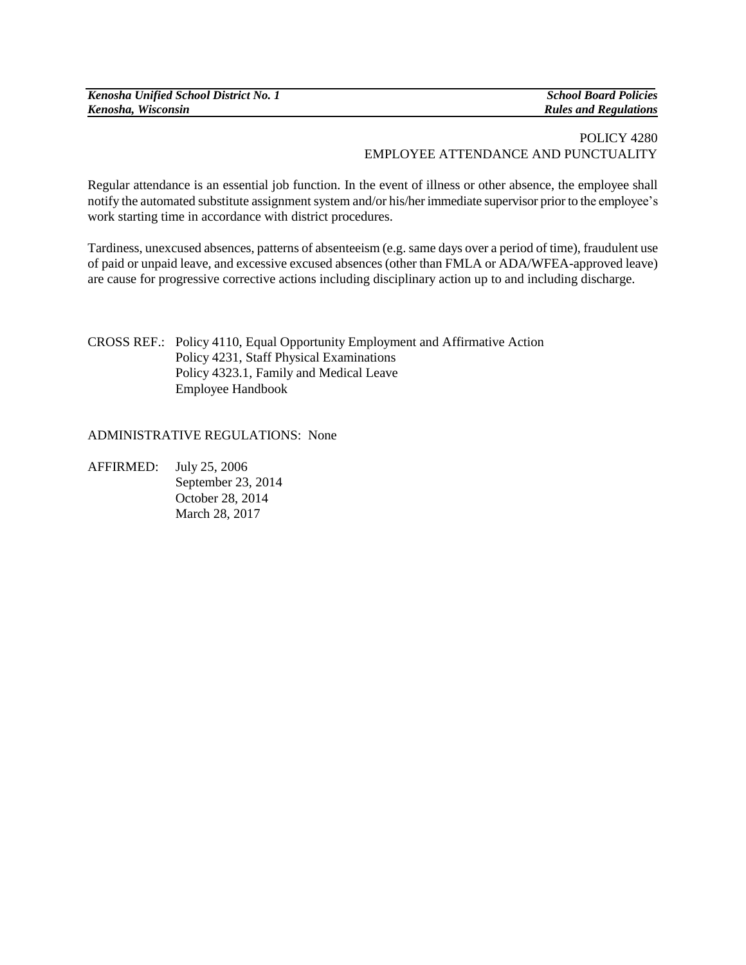| Kenosha Unified School District No. 1 |
|---------------------------------------|
| Kenosha, Wisconsin                    |

*Kenosha Unified School District No. 1 School Board Policies Kenosha, Wisconsin Rules and Regulations*

## POLICY 4280 EMPLOYEE ATTENDANCE AND PUNCTUALITY

Regular attendance is an essential job function. In the event of illness or other absence, the employee shall notify the automated substitute assignment system and/or his/her immediate supervisor prior to the employee's work starting time in accordance with district procedures.

Tardiness, unexcused absences, patterns of absenteeism (e.g. same days over a period of time), fraudulent use of paid or unpaid leave, and excessive excused absences (other than FMLA or ADA/WFEA-approved leave) are cause for progressive corrective actions including disciplinary action up to and including discharge.

CROSS REF.: Policy 4110, Equal Opportunity Employment and Affirmative Action Policy 4231, Staff Physical Examinations Policy 4323.1, Family and Medical Leave Employee Handbook

## ADMINISTRATIVE REGULATIONS: None

AFFIRMED: July 25, 2006 September 23, 2014 October 28, 2014 March 28, 2017